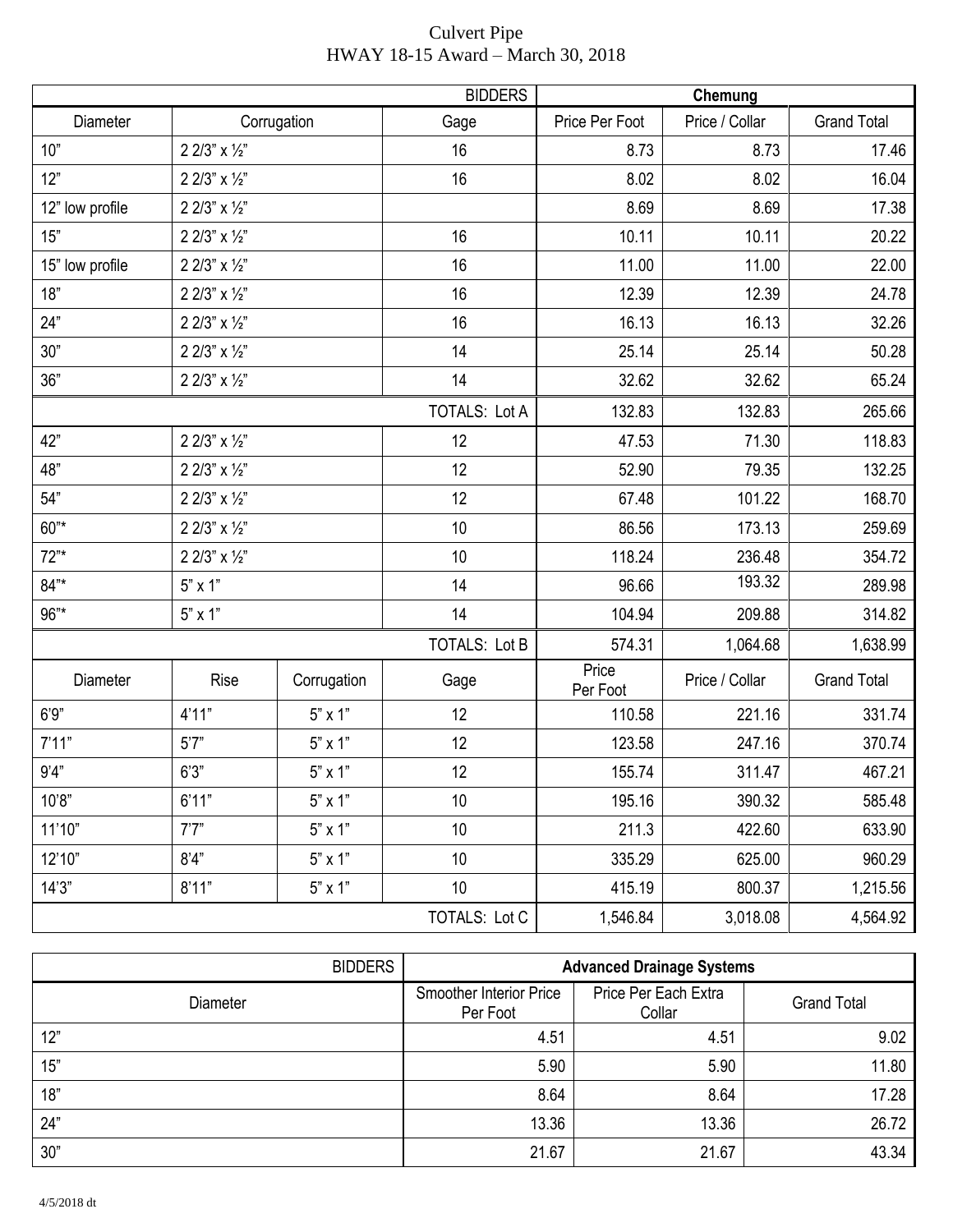|                 |                             |                | <b>BIDDERS</b>       |                   | Chemung        |                    |
|-----------------|-----------------------------|----------------|----------------------|-------------------|----------------|--------------------|
| Diameter        | Corrugation                 |                | Gage                 | Price Per Foot    | Price / Collar | <b>Grand Total</b> |
| 10"             | 2 2/3" x 1/2"               |                | 16                   | 8.73              | 8.73           | 17.46              |
| 12"             | 2 2/3" x 1/2"               |                | 16                   | 8.02              | 8.02           | 16.04              |
| 12" low profile | 2 2/3" x 1/2"               |                |                      | 8.69              | 8.69           | 17.38              |
| 15"             | 2 2/3" $\times$ 1/2"        |                | 16                   | 10.11             | 10.11          | 20.22              |
| 15" low profile | $2$ $2/3"$ x $\frac{1}{2}"$ |                | 16                   | 11.00             | 11.00          | 22.00              |
| 18"             | 2 2/3" $\times$ 1/2"        |                |                      | 12.39             | 12.39          | 24.78              |
| 24"             | 2 2/3" $\times$ 1/2"        |                |                      | 16.13             | 16.13          | 32.26              |
| 30"             | 2 2/3" $\times$ 1/2"        |                | 14                   | 25.14             | 25.14          | 50.28              |
| 36"             | 2 2/3" x 1/2"               |                | 14                   | 32.62             | 32.62          | 65.24              |
|                 |                             |                | <b>TOTALS: Lot A</b> | 132.83            | 132.83         | 265.66             |
| 42"             | 2 2/3" x 1/2"               |                | 12                   | 47.53             | 71.30          | 118.83             |
| 48"             | 2 2/3" x 1/2"               |                | 12                   | 52.90             | 79.35          | 132.25             |
| 54"             | 2 2/3" x 1/2"               |                | 12                   | 67.48             | 101.22         | 168.70             |
| $60^{n*}$       | $2$ $2/3"$ x $\frac{1}{2}"$ |                | 10                   | 86.56             | 173.13         | 259.69             |
| $72"$ *         | 2 2/3" x 1/2"               |                | 10                   | 118.24            | 236.48         | 354.72             |
| $84"$ *         | $5"$ x 1"                   |                | 14                   | 96.66             | 193.32         | 289.98             |
| 96"*            | $5" \times 1"$              |                | 14                   | 104.94            | 209.88         | 314.82             |
|                 |                             |                | <b>TOTALS: Lot B</b> | 574.31            | 1,064.68       | 1,638.99           |
| Diameter        | Rise                        | Corrugation    | Gage                 | Price<br>Per Foot | Price / Collar | <b>Grand Total</b> |
| 6'9''           | 4'11"                       | $5" \times 1"$ | 12                   | 110.58            | 221.16         | 331.74             |
| 7'11"           | 5'7''                       | $5" \times 1"$ | 12                   | 123.58            | 247.16         | 370.74             |
| 9'4"            | 6'3''                       | $5" \times 1"$ | 12                   | 155.74            | 311.47         | 467.21             |
| 10'8"           | 6'11"                       | $5" \times 1"$ | 10                   | 195.16            | 390.32         | 585.48             |
| 11'10"          | 7'7''                       | $5"$ x 1"      | 10                   | 211.3             | 422.60         | 633.90             |
| 12'10"          | 8'4"                        | 5" x 1"        | 10                   | 335.29            | 625.00         | 960.29             |
| 14'3''          | 8'11"                       | $5" \times 1"$ | 10                   | 415.19            | 800.37         | 1,215.56           |
|                 |                             |                | <b>TOTALS: Lot C</b> | 1,546.84          | 3,018.08       | 4,564.92           |

| <b>Culvert Pipe</b>               |  |
|-----------------------------------|--|
| HWAY 18-15 Award – March 30, 2018 |  |

| <b>BIDDERS</b>  |                                            | <b>Advanced Drainage Systems</b> |                    |
|-----------------|--------------------------------------------|----------------------------------|--------------------|
| <b>Diameter</b> | <b>Smoother Interior Price</b><br>Per Foot | Price Per Each Extra<br>Collar   | <b>Grand Total</b> |
| 12"             | 4.51                                       | 4.51                             | 9.02               |
| 15"             | 5.90                                       | 5.90                             | 11.80              |
| 18"             | 8.64                                       | 8.64                             | 17.28              |
| 24"             | 13.36                                      | 13.36                            | 26.72              |
| 30"             | 21.67                                      | 21.67                            | 43.34              |